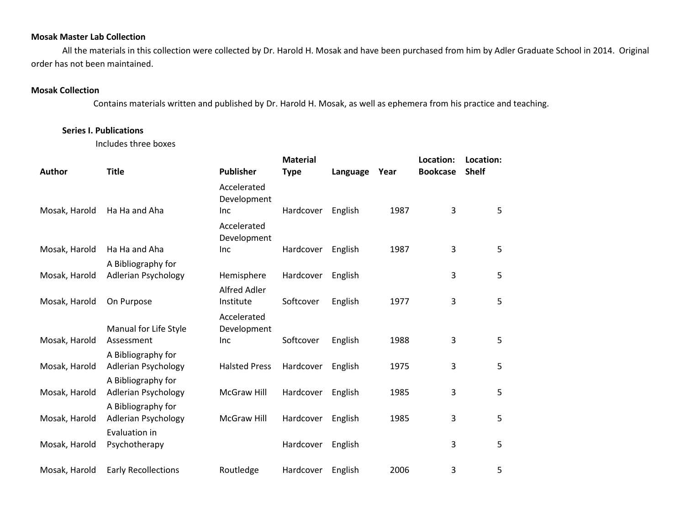## **Mosak Master Lab Collection**

All the materials in this collection were collected by Dr. Harold H. Mosak and have been purchased from him by Adler Graduate School in 2014. Original order has not been maintained.

## **Mosak Collection**

Contains materials written and published by Dr. Harold H. Mosak, as well as ephemera from his practice and teaching.

## **Series I. Publications**

Includes three boxes

| <b>Author</b> | <b>Title</b>                                     | <b>Publisher</b>           | <b>Material</b> |          |      | Location:       | Location:    |  |
|---------------|--------------------------------------------------|----------------------------|-----------------|----------|------|-----------------|--------------|--|
|               |                                                  | Accelerated                | <b>Type</b>     | Language | Year | <b>Bookcase</b> | <b>Shelf</b> |  |
| Mosak, Harold | Ha Ha and Aha                                    | Development<br><b>Inc</b>  | Hardcover       | English  | 1987 | $\overline{3}$  | 5            |  |
|               |                                                  | Accelerated<br>Development |                 |          |      |                 |              |  |
| Mosak, Harold | Ha Ha and Aha                                    | Inc                        | Hardcover       | English  | 1987 | 3               | 5            |  |
|               | A Bibliography for                               |                            |                 |          |      |                 |              |  |
| Mosak, Harold | Adlerian Psychology                              | Hemisphere                 | Hardcover       | English  |      | 3               | 5            |  |
| Mosak, Harold | On Purpose                                       | Alfred Adler<br>Institute  | Softcover       | English  | 1977 | 3               | 5            |  |
|               | Manual for Life Style                            | Accelerated<br>Development |                 |          |      |                 |              |  |
| Mosak, Harold | Assessment                                       | <b>Inc</b>                 | Softcover       | English  | 1988 | 3               | 5            |  |
| Mosak, Harold | A Bibliography for<br>Adlerian Psychology        | <b>Halsted Press</b>       | Hardcover       | English  | 1975 | 3               | 5            |  |
|               | A Bibliography for                               |                            |                 |          |      |                 |              |  |
| Mosak, Harold | Adlerian Psychology                              | McGraw Hill                | Hardcover       | English  | 1985 | 3               | 5            |  |
| Mosak, Harold | A Bibliography for<br><b>Adlerian Psychology</b> | McGraw Hill                | Hardcover       | English  | 1985 | 3               | 5            |  |
| Mosak, Harold | Evaluation in<br>Psychotherapy                   |                            | Hardcover       | English  |      | 3               | 5            |  |
| Mosak, Harold | <b>Early Recollections</b>                       | Routledge                  | Hardcover       | English  | 2006 | 3               | 5            |  |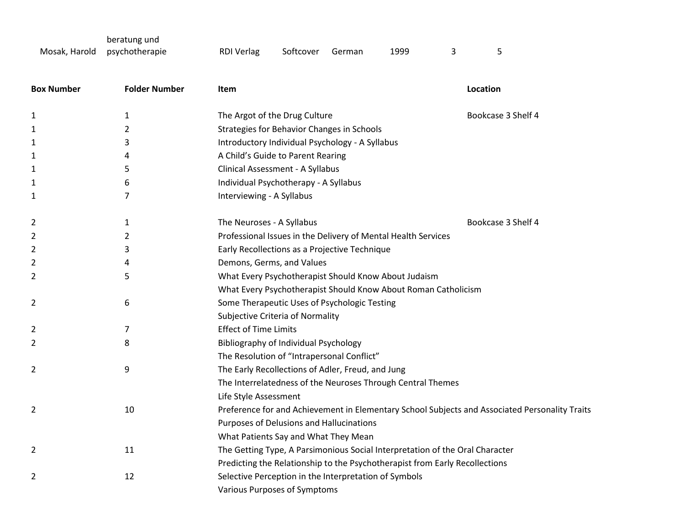Mosak, Harold beratung und RDI Verlag Softcover German 1999 3 5

| <b>Box Number</b> | <b>Folder Number</b> | Item                                                                                           | Location           |
|-------------------|----------------------|------------------------------------------------------------------------------------------------|--------------------|
| 1                 | 1                    | The Argot of the Drug Culture                                                                  | Bookcase 3 Shelf 4 |
| 1                 | $\overline{2}$       | Strategies for Behavior Changes in Schools                                                     |                    |
| 1                 | 3                    | Introductory Individual Psychology - A Syllabus                                                |                    |
| 1                 | 4                    | A Child's Guide to Parent Rearing                                                              |                    |
| 1                 | 5                    | Clinical Assessment - A Syllabus                                                               |                    |
| 1                 | 6                    | Individual Psychotherapy - A Syllabus                                                          |                    |
| 1                 | 7                    | Interviewing - A Syllabus                                                                      |                    |
| 2                 | 1                    | The Neuroses - A Syllabus                                                                      | Bookcase 3 Shelf 4 |
| 2                 | 2                    | Professional Issues in the Delivery of Mental Health Services                                  |                    |
| 2                 | 3                    | Early Recollections as a Projective Technique                                                  |                    |
| 2                 | 4                    | Demons, Germs, and Values                                                                      |                    |
| 2                 | 5                    | What Every Psychotherapist Should Know About Judaism                                           |                    |
|                   |                      | What Every Psychotherapist Should Know About Roman Catholicism                                 |                    |
| 2                 | 6                    | Some Therapeutic Uses of Psychologic Testing                                                   |                    |
|                   |                      | Subjective Criteria of Normality                                                               |                    |
| 2                 | 7                    | <b>Effect of Time Limits</b>                                                                   |                    |
| 2                 | 8                    | Bibliography of Individual Psychology                                                          |                    |
|                   |                      | The Resolution of "Intrapersonal Conflict"                                                     |                    |
| 2                 | 9                    | The Early Recollections of Adler, Freud, and Jung                                              |                    |
|                   |                      | The Interrelatedness of the Neuroses Through Central Themes                                    |                    |
|                   |                      | Life Style Assessment                                                                          |                    |
| $\overline{2}$    | 10                   | Preference for and Achievement in Elementary School Subjects and Associated Personality Traits |                    |
|                   |                      | Purposes of Delusions and Hallucinations                                                       |                    |
|                   |                      | What Patients Say and What They Mean                                                           |                    |
| 2                 | 11                   | The Getting Type, A Parsimonious Social Interpretation of the Oral Character                   |                    |
|                   |                      | Predicting the Relationship to the Psychotherapist from Early Recollections                    |                    |
| 2                 | 12                   | Selective Perception in the Interpretation of Symbols                                          |                    |
|                   |                      | Various Purposes of Symptoms                                                                   |                    |